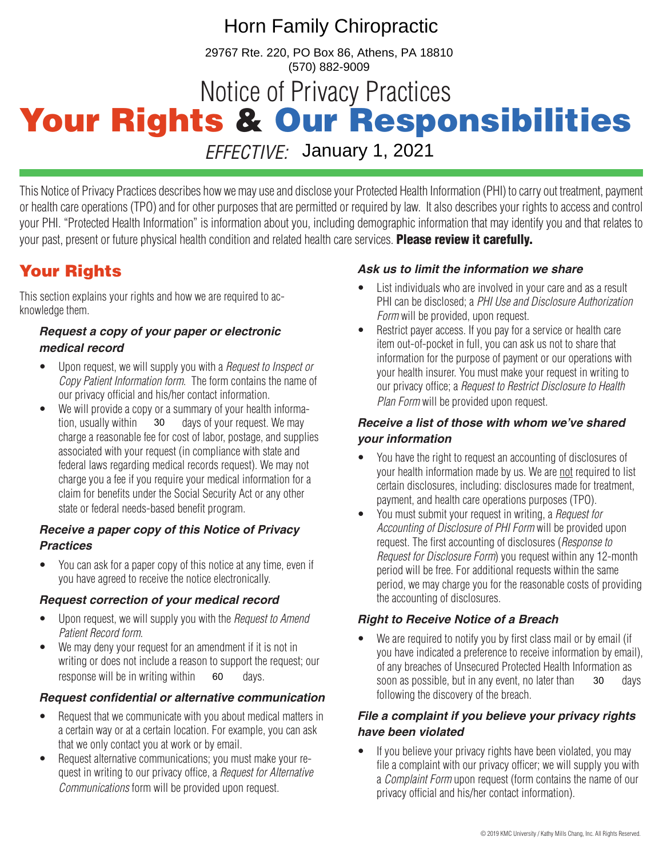# Horn Family Chiropractic

29767 Rte. 220, PO Box 86, Athens, PA 18810 (570) 882-9009

# Notice of Privacy Practices Your Rights & Our Responsibilities

*EFFECTIVE:* January 1, 2021

This Notice of Privacy Practices describes how we may use and disclose your Protected Health Information (PHI) to carry out treatment, payment or health care operations (TPO) and for other purposes that are permitted or required by law. It also describes your rights to access and control your PHI. "Protected Health Information" is information about you, including demographic information that may identify you and that relates to your past, present or future physical health condition and related health care services. Please review it carefully.

## Your Rights

This section explains your rights and how we are required to acknowledge them.

### *Request a copy of your paper or electronic medical record*

- Upon request, we will supply you with a *Request to Inspect or Copy Patient Information form*. The form contains the name of our privacy official and his/her contact information.
- We will provide a copy or a summary of your health information, usually within  $\frac{30}{20}$  days of your request. We may charge a reasonable fee for cost of labor, postage, and supplies associated with your request (in compliance with state and federal laws regarding medical records request). We may not charge you a fee if you require your medical information for a claim for benefits under the Social Security Act or any other state or federal needs-based benefit program. 30

### *Receive a paper copy of this Notice of Privacy Practices*

• You can ask for a paper copy of this notice at any time, even if you have agreed to receive the notice electronically.

### *Request correction of your medical record*

- Upon request, we will supply you with the *Request to Amend Patient Record form*.
- We may deny your request for an amendment if it is not in writing or does not include a reason to support the request; our response will be in writing within  $\epsilon_0$  days.

### *Request confidential or alternative communication*

- Request that we communicate with you about medical matters in a certain way or at a certain location. For example, you can ask that we only contact you at work or by email.
- Request alternative communications; you must make your request in writing to our privacy office, a *Request for Alternative Communications* form will be provided upon request.

### *Ask us to limit the information we share*

- List individuals who are involved in your care and as a result PHI can be disclosed; a *PHI Use and Disclosure Authorization Form* will be provided, upon request.
- Restrict payer access. If you pay for a service or health care item out-of-pocket in full, you can ask us not to share that information for the purpose of payment or our operations with your health insurer. You must make your request in writing to our privacy office; a *Request to Restrict Disclosure to Health Plan Form* will be provided upon request.

### *Receive a list of those with whom we've shared your information*

- You have the right to request an accounting of disclosures of your health information made by us. We are not required to list certain disclosures, including: disclosures made for treatment, payment, and health care operations purposes (TPO).
- You must submit your request in writing, a *Request for Accounting of Disclosure of PHI Form* will be provided upon request. The first accounting of disclosures (*Response to Request for Disclosure Form*) you request within any 12-month period will be free. For additional requests within the same period, we may charge you for the reasonable costs of providing the accounting of disclosures.

### *Right to Receive Notice of a Breach*

We are required to notify you by first class mail or by email (if you have indicated a preference to receive information by email), of any breaches of Unsecured Protected Health Information as 60 days. The soon as possible, but in any event, no later than 30 days following the discovery of the breach.

### *File a complaint if you believe your privacy rights have been violated*

• If you believe your privacy rights have been violated, you may file a complaint with our privacy officer; we will supply you with a *Complaint Form* upon request (form contains the name of our privacy official and his/her contact information).